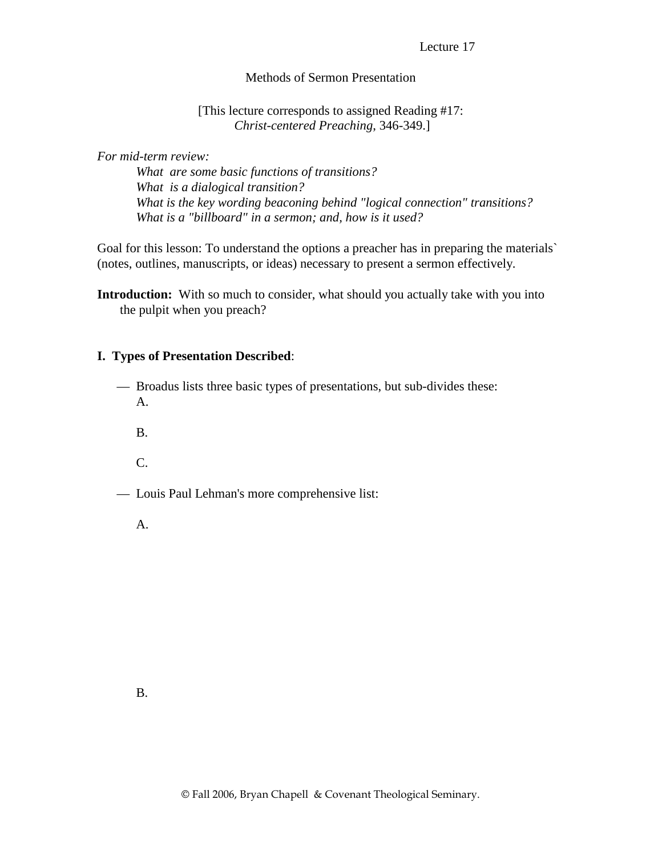Lecture 17

### Methods of Sermon Presentation

#### [This lecture corresponds to assigned Reading #17: *Christ-centered Preaching*, 346-349.]

*For mid-term review:* 

 *What are some basic functions of transitions? What is a dialogical transition? What is the key wording beaconing behind "logical connection" transitions? What is a "billboard" in a sermon; and, how is it used?* 

Goal for this lesson: To understand the options a preacher has in preparing the materials` (notes, outlines, manuscripts, or ideas) necessary to present a sermon effectively.

#### **I. Types of Presentation Described**:

- Broadus lists three basic types of presentations, but sub-divides these: A.
	- B.
	- C.
- Louis Paul Lehman's more comprehensive list:
	- A.

**Introduction:** With so much to consider, what should you actually take with you into the pulpit when you preach?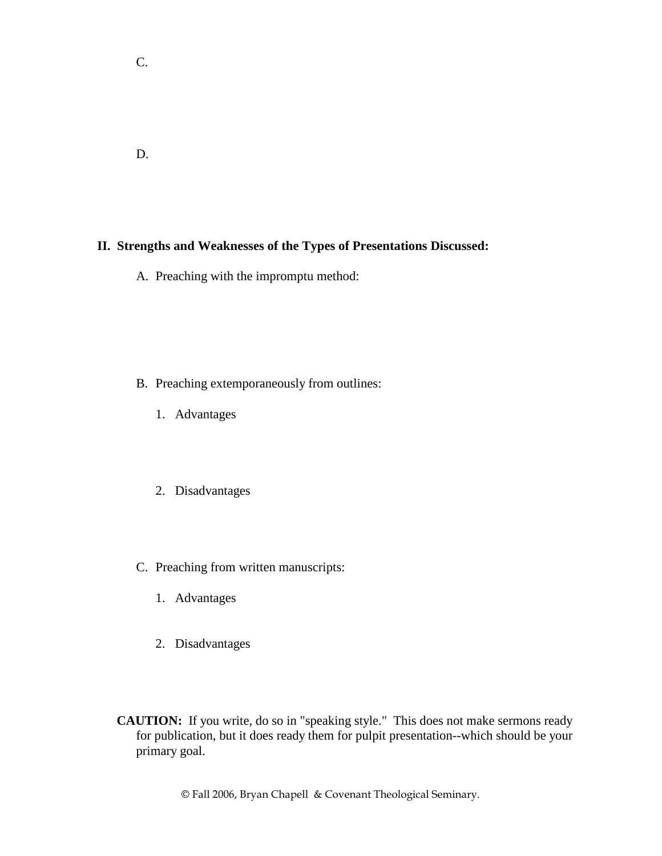D.

C.

# **II. Strengths and Weaknesses of the Types of Presentations Discussed:**

A. Preaching with the impromptu method:

- B. Preaching extemporaneously from outlines:
	- 1. Advantages
	- 2. Disadvantages
- C. Preaching from written manuscripts:
	- 1. Advantages
	- 2. Disadvantages
- **CAUTION:** If you write, do so in "speaking style." This does not make sermons ready for publication, but it does ready them for pulpit presentation--which should be your primary goal.

© Fall 2006, Bryan Chapell & Covenant Theological Seminary.